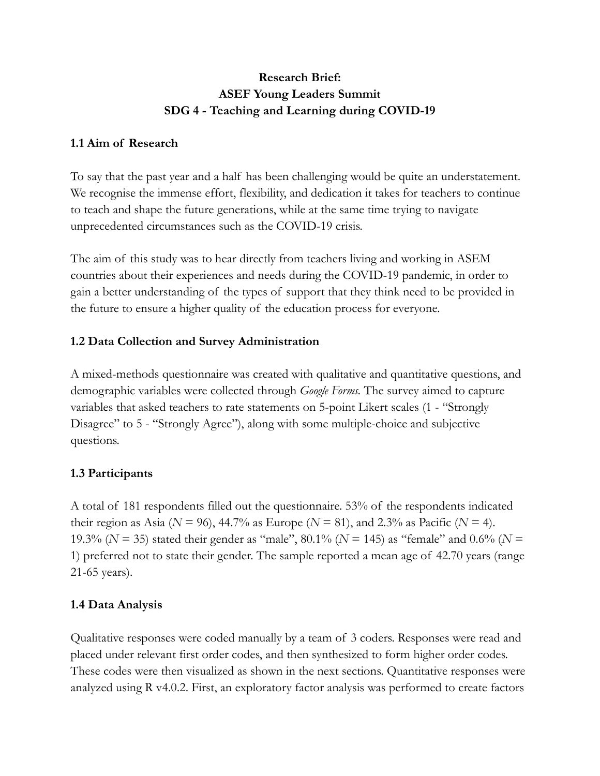# **Research Brief: ASEF Young Leaders Summit SDG 4 - Teaching and Learning during COVID-19**

## **1.1 Aim of Research**

To say that the past year and a half has been challenging would be quite an understatement. We recognise the immense effort, flexibility, and dedication it takes for teachers to continue to teach and shape the future generations, while at the same time trying to navigate unprecedented circumstances such as the COVID-19 crisis.

The aim of this study was to hear directly from teachers living and working in ASEM countries about their experiences and needs during the COVID-19 pandemic, in order to gain a better understanding of the types of support that they think need to be provided in the future to ensure a higher quality of the education process for everyone.

## **1.2 Data Collection and Survey Administration**

A mixed-methods questionnaire was created with qualitative and quantitative questions, and demographic variables were collected through *Google Forms.* The survey aimed to capture variables that asked teachers to rate statements on 5-point Likert scales (1 - "Strongly Disagree" to 5 - "Strongly Agree"), along with some multiple-choice and subjective questions.

### **1.3 Participants**

A total of 181 respondents filled out the questionnaire. 53% of the respondents indicated their region as Asia ( $N = 96$ ), 44.7% as Europe ( $N = 81$ ), and 2.3% as Pacific ( $N = 4$ ). 19.3% (*N* = 35) stated their gender as "male", 80.1% (*N* = 145) as "female" and 0.6% (*N* = 1) preferred not to state their gender. The sample reported a mean age of 42.70 years (range 21-65 years).

## **1.4 Data Analysis**

Qualitative responses were coded manually by a team of 3 coders. Responses were read and placed under relevant first order codes, and then synthesized to form higher order codes. These codes were then visualized as shown in the next sections. Quantitative responses were analyzed using R v4.0.2. First, an exploratory factor analysis was performed to create factors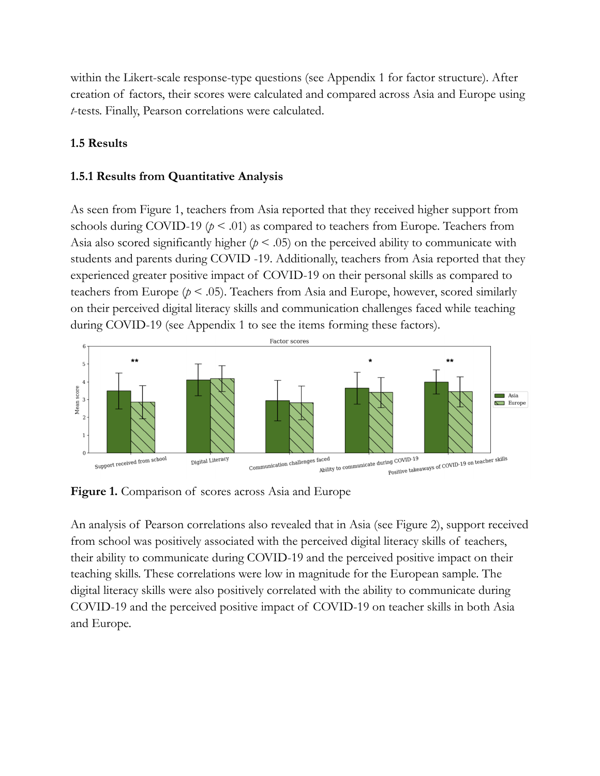within the Likert-scale response-type questions (see Appendix 1 for factor structure). After creation of factors, their scores were calculated and compared across Asia and Europe using *t*-tests. Finally, Pearson correlations were calculated.

### **1.5 Results**

### **1.5.1 Results from Quantitative Analysis**

As seen from Figure 1, teachers from Asia reported that they received higher support from schools during COVID-19 ( $p < .01$ ) as compared to teachers from Europe. Teachers from Asia also scored significantly higher ( $p < .05$ ) on the perceived ability to communicate with students and parents during COVID -19. Additionally, teachers from Asia reported that they experienced greater positive impact of COVID-19 on their personal skills as compared to teachers from Europe  $(p < .05)$ . Teachers from Asia and Europe, however, scored similarly on their perceived digital literacy skills and communication challenges faced while teaching during COVID-19 (see Appendix 1 to see the items forming these factors).



**Figure 1.** Comparison of scores across Asia and Europe

An analysis of Pearson correlations also revealed that in Asia (see Figure 2), support received from school was positively associated with the perceived digital literacy skills of teachers, their ability to communicate during COVID-19 and the perceived positive impact on their teaching skills. These correlations were low in magnitude for the European sample. The digital literacy skills were also positively correlated with the ability to communicate during COVID-19 and the perceived positive impact of COVID-19 on teacher skills in both Asia and Europe.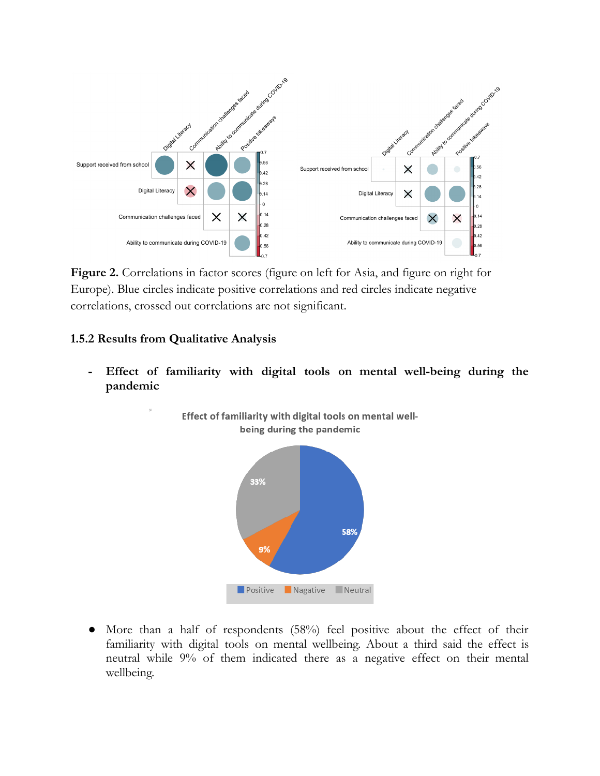

**Figure 2.** Correlations in factor scores (figure on left for Asia, and figure on right for Europe). Blue circles indicate positive correlations and red circles indicate negative correlations, crossed out correlations are not significant.

#### **1.5.2 Results from Qualitative Analysis**

**- Effect of familiarity with digital tools on mental well-being during the pandemic**

Effect of familiarity with digital tools on mental well-



● More than a half of respondents (58%) feel positive about the effect of their familiarity with digital tools on mental wellbeing. About a third said the effect is neutral while 9% of them indicated there as a negative effect on their mental wellbeing.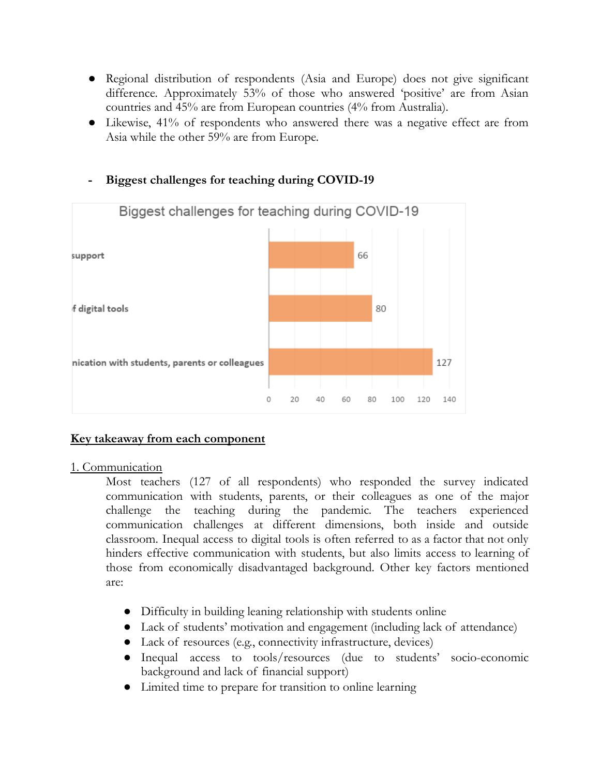- Regional distribution of respondents (Asia and Europe) does not give significant difference. Approximately 53% of those who answered 'positive' are from Asian countries and 45% are from European countries (4% from Australia).
- Likewise, 41% of respondents who answered there was a negative effect are from Asia while the other 59% are from Europe.



### **- Biggest challenges for teaching during COVID-19**

### **Key takeaway from each component**

### 1. Communication

Most teachers (127 of all respondents) who responded the survey indicated communication with students, parents, or their colleagues as one of the major challenge the teaching during the pandemic. The teachers experienced communication challenges at different dimensions, both inside and outside classroom. Inequal access to digital tools is often referred to as a factor that not only hinders effective communication with students, but also limits access to learning of those from economically disadvantaged background. Other key factors mentioned are:

- Difficulty in building leaning relationship with students online
- Lack of students' motivation and engagement (including lack of attendance)
- Lack of resources (e.g., connectivity infrastructure, devices)
- Inequal access to tools/resources (due to students' socio-economic background and lack of financial support)
- Limited time to prepare for transition to online learning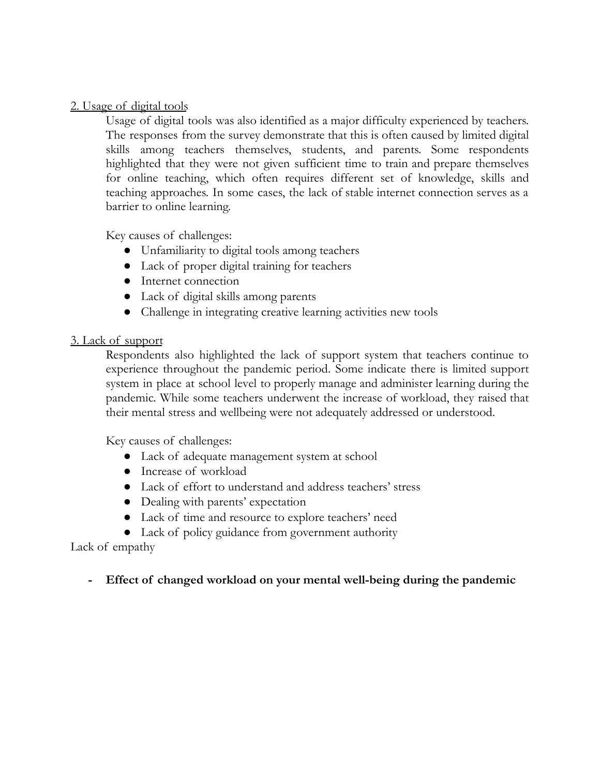### 2. Usage of digital tools

Usage of digital tools was also identified as a major difficulty experienced by teachers. The responses from the survey demonstrate that this is often caused by limited digital skills among teachers themselves, students, and parents. Some respondents highlighted that they were not given sufficient time to train and prepare themselves for online teaching, which often requires different set of knowledge, skills and teaching approaches. In some cases, the lack of stable internet connection serves as a barrier to online learning.

Key causes of challenges:

- Unfamiliarity to digital tools among teachers
- Lack of proper digital training for teachers
- Internet connection
- Lack of digital skills among parents
- Challenge in integrating creative learning activities new tools

### 3. Lack of support

Respondents also highlighted the lack of support system that teachers continue to experience throughout the pandemic period. Some indicate there is limited support system in place at school level to properly manage and administer learning during the pandemic. While some teachers underwent the increase of workload, they raised that their mental stress and wellbeing were not adequately addressed or understood.

Key causes of challenges:

- Lack of adequate management system at school
- Increase of workload
- Lack of effort to understand and address teachers' stress
- Dealing with parents' expectation
- Lack of time and resource to explore teachers' need
- Lack of policy guidance from government authority

Lack of empathy

**- Effect of changed workload on your mental well-being during the pandemic**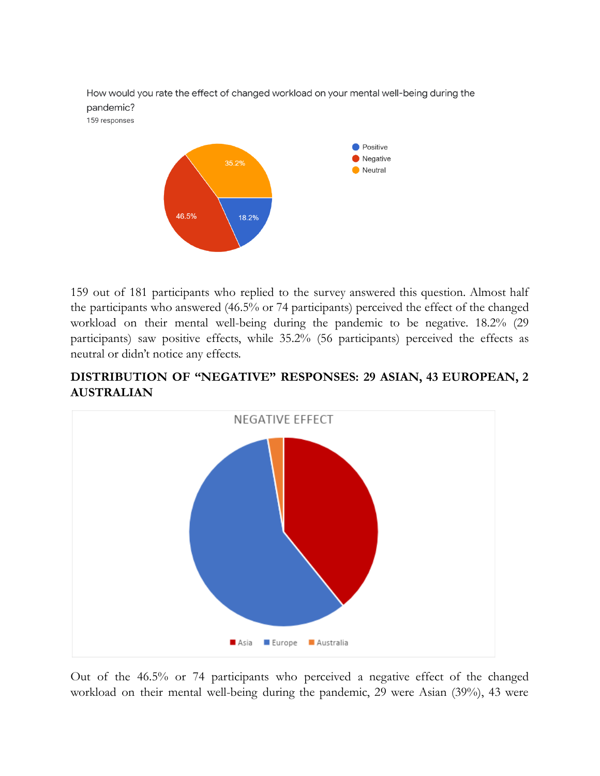

159 out of 181 participants who replied to the survey answered this question. Almost half the participants who answered (46.5% or 74 participants) perceived the effect of the changed workload on their mental well-being during the pandemic to be negative. 18.2% (29 participants) saw positive effects, while 35.2% (56 participants) perceived the effects as neutral or didn't notice any effects.

## **DISTRIBUTION OF "NEGATIVE" RESPONSES: 29 ASIAN, 43 EUROPEAN, 2 AUSTRALIAN**



Out of the 46.5% or 74 participants who perceived a negative effect of the changed workload on their mental well-being during the pandemic, 29 were Asian (39%), 43 were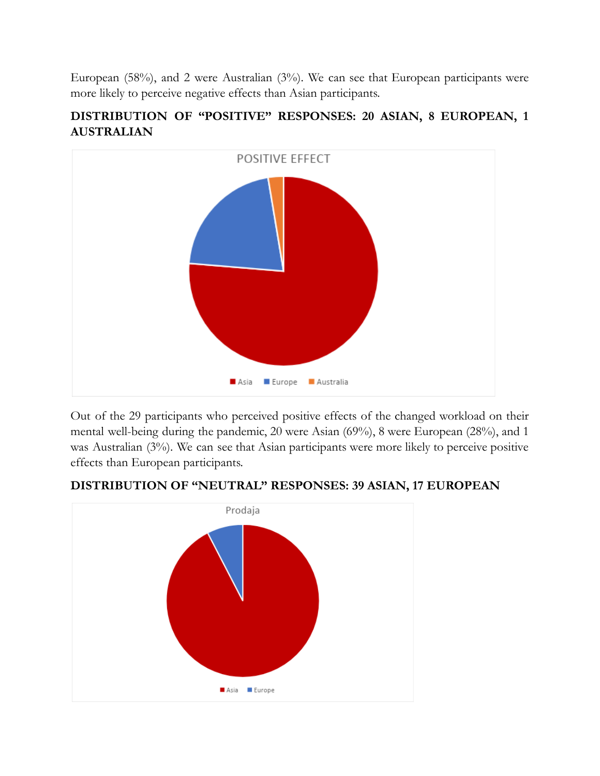European (58%), and 2 were Australian (3%). We can see that European participants were more likely to perceive negative effects than Asian participants.

# **DISTRIBUTION OF "POSITIVE" RESPONSES: 20 ASIAN, 8 EUROPEAN, 1 AUSTRALIAN**



Out of the 29 participants who perceived positive effects of the changed workload on their mental well-being during the pandemic, 20 were Asian (69%), 8 were European (28%), and 1 was Australian (3%). We can see that Asian participants were more likely to perceive positive effects than European participants.



### **DISTRIBUTION OF "NEUTRAL" RESPONSES: 39 ASIAN, 17 EUROPEAN**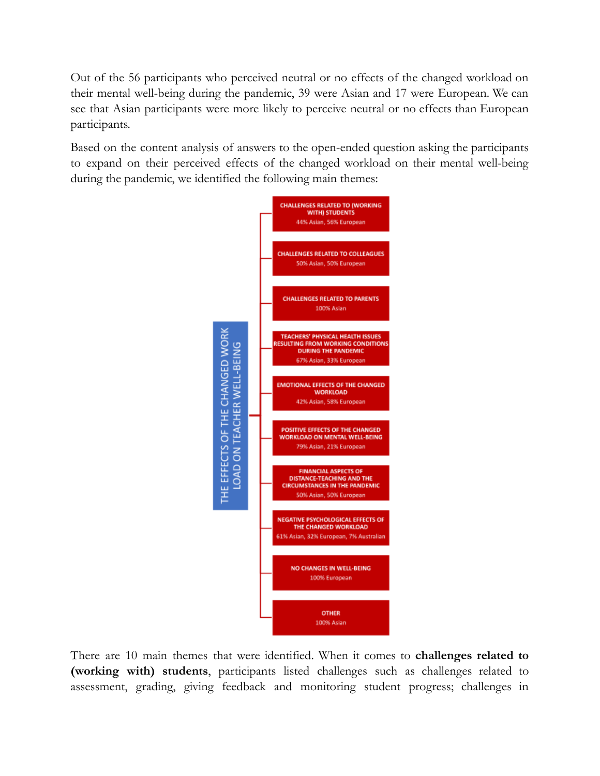Out of the 56 participants who perceived neutral or no effects of the changed workload on their mental well-being during the pandemic, 39 were Asian and 17 were European. We can see that Asian participants were more likely to perceive neutral or no effects than European participants.

Based on the content analysis of answers to the open-ended question asking the participants to expand on their perceived effects of the changed workload on their mental well-being during the pandemic, we identified the following main themes:



There are 10 main themes that were identified. When it comes to **challenges related to (working with) students**, participants listed challenges such as challenges related to assessment, grading, giving feedback and monitoring student progress; challenges in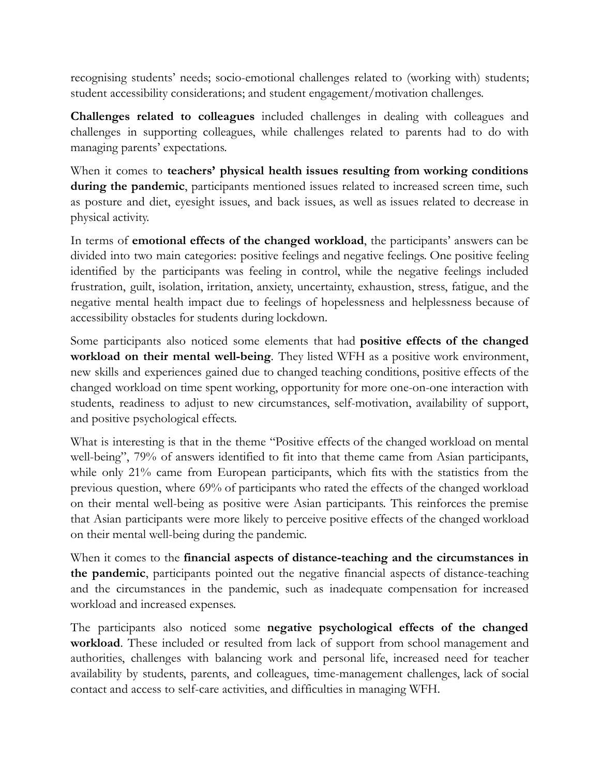recognising students' needs; socio-emotional challenges related to (working with) students; student accessibility considerations; and student engagement/motivation challenges.

**Challenges related to colleagues** included challenges in dealing with colleagues and challenges in supporting colleagues, while challenges related to parents had to do with managing parents' expectations.

When it comes to **teachers' physical health issues resulting from working conditions during the pandemic**, participants mentioned issues related to increased screen time, such as posture and diet, eyesight issues, and back issues, as well as issues related to decrease in physical activity.

In terms of **emotional effects of the changed workload**, the participants' answers can be divided into two main categories: positive feelings and negative feelings. One positive feeling identified by the participants was feeling in control, while the negative feelings included frustration, guilt, isolation, irritation, anxiety, uncertainty, exhaustion, stress, fatigue, and the negative mental health impact due to feelings of hopelessness and helplessness because of accessibility obstacles for students during lockdown.

Some participants also noticed some elements that had **positive effects of the changed workload on their mental well-being**. They listed WFH as a positive work environment, new skills and experiences gained due to changed teaching conditions, positive effects of the changed workload on time spent working, opportunity for more one-on-one interaction with students, readiness to adjust to new circumstances, self-motivation, availability of support, and positive psychological effects.

What is interesting is that in the theme "Positive effects of the changed workload on mental well-being", 79% of answers identified to fit into that theme came from Asian participants, while only 21% came from European participants, which fits with the statistics from the previous question, where 69% of participants who rated the effects of the changed workload on their mental well-being as positive were Asian participants. This reinforces the premise that Asian participants were more likely to perceive positive effects of the changed workload on their mental well-being during the pandemic.

When it comes to the **financial aspects of distance-teaching and the circumstances in the pandemic**, participants pointed out the negative financial aspects of distance-teaching and the circumstances in the pandemic, such as inadequate compensation for increased workload and increased expenses.

The participants also noticed some **negative psychological effects of the changed workload**. These included or resulted from lack of support from school management and authorities, challenges with balancing work and personal life, increased need for teacher availability by students, parents, and colleagues, time-management challenges, lack of social contact and access to self-care activities, and difficulties in managing WFH.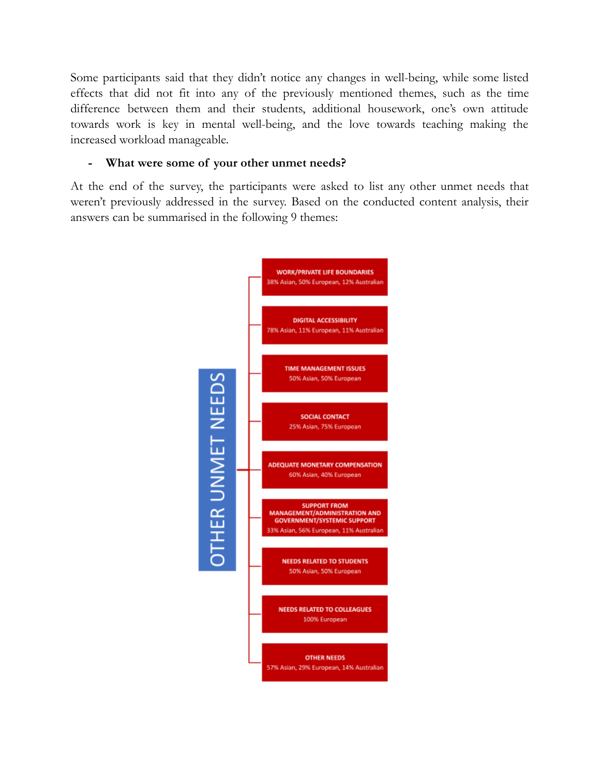Some participants said that they didn't notice any changes in well-being, while some listed effects that did not fit into any of the previously mentioned themes, such as the time difference between them and their students, additional housework, one's own attitude towards work is key in mental well-being, and the love towards teaching making the increased workload manageable.

### **- What were some of your other unmet needs?**

At the end of the survey, the participants were asked to list any other unmet needs that weren't previously addressed in the survey. Based on the conducted content analysis, their answers can be summarised in the following 9 themes:

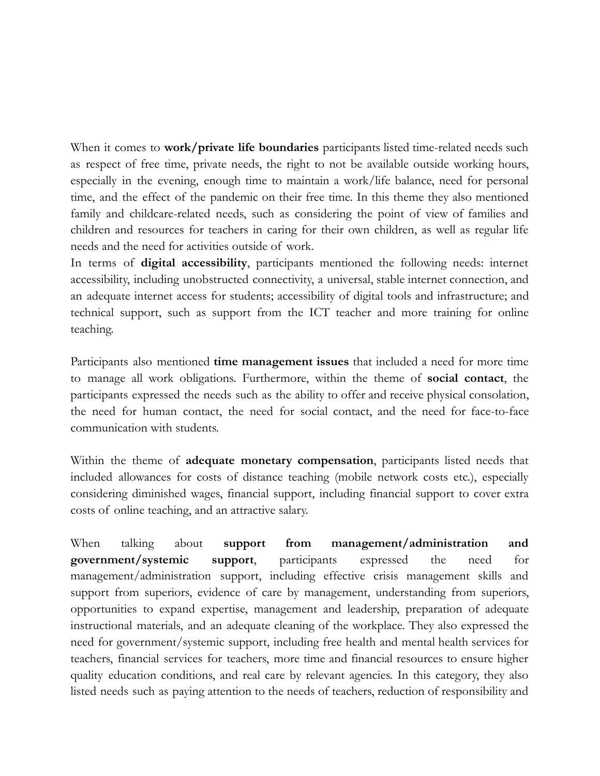When it comes to **work/private life boundaries** participants listed time-related needs such as respect of free time, private needs, the right to not be available outside working hours, especially in the evening, enough time to maintain a work/life balance, need for personal time, and the effect of the pandemic on their free time. In this theme they also mentioned family and childcare-related needs, such as considering the point of view of families and children and resources for teachers in caring for their own children, as well as regular life needs and the need for activities outside of work.

In terms of **digital accessibility**, participants mentioned the following needs: internet accessibility, including unobstructed connectivity, a universal, stable internet connection, and an adequate internet access for students; accessibility of digital tools and infrastructure; and technical support, such as support from the ICT teacher and more training for online teaching.

Participants also mentioned **time management issues** that included a need for more time to manage all work obligations. Furthermore, within the theme of **social contact**, the participants expressed the needs such as the ability to offer and receive physical consolation, the need for human contact, the need for social contact, and the need for face-to-face communication with students.

Within the theme of **adequate monetary compensation**, participants listed needs that included allowances for costs of distance teaching (mobile network costs etc.), especially considering diminished wages, financial support, including financial support to cover extra costs of online teaching, and an attractive salary.

When talking about **support from management/administration and government/systemic support**, participants expressed the need for management/administration support, including effective crisis management skills and support from superiors, evidence of care by management, understanding from superiors, opportunities to expand expertise, management and leadership, preparation of adequate instructional materials, and an adequate cleaning of the workplace. They also expressed the need for government/systemic support, including free health and mental health services for teachers, financial services for teachers, more time and financial resources to ensure higher quality education conditions, and real care by relevant agencies. In this category, they also listed needs such as paying attention to the needs of teachers, reduction of responsibility and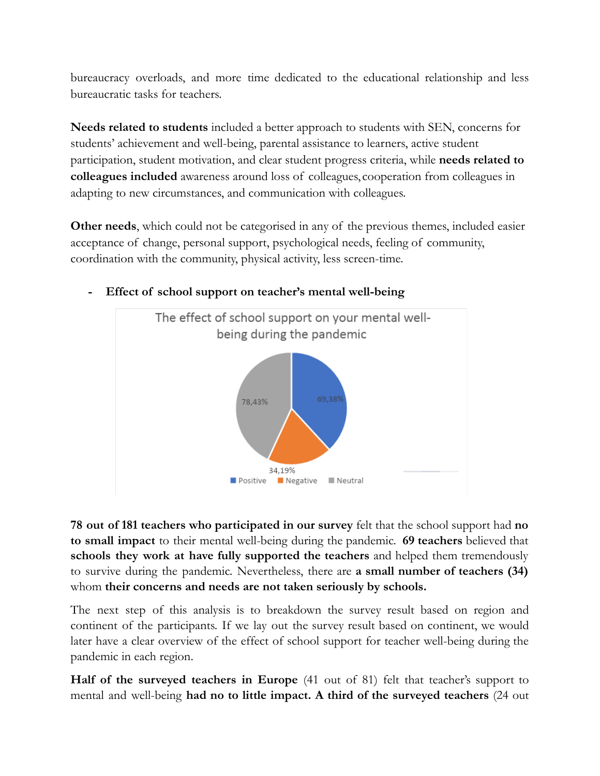bureaucracy overloads, and more time dedicated to the educational relationship and less bureaucratic tasks for teachers.

**Needs related to students** included a better approach to students with SEN, concerns for students' achievement and well-being, parental assistance to learners, active student participation, student motivation, and clear student progress criteria, while **needs related to colleagues included** awareness around loss of colleagues, cooperation from colleagues in adapting to new circumstances, and communication with colleagues.

**Other needs**, which could not be categorised in any of the previous themes, included easier acceptance of change, personal support, psychological needs, feeling of community, coordination with the community, physical activity, less screen-time.



# **- Effect of school support on teacher's mental well-being**

**78 out of 181 teachers who participated in our survey** felt that the school support had **no to small impact** to their mental well-being during the pandemic. **69 teachers** believed that **schools they work at have fully supported the teachers** and helped them tremendously to survive during the pandemic. Nevertheless, there are **a small number of teachers (34)** whom **their concerns and needs are not taken seriously by schools.**

The next step of this analysis is to breakdown the survey result based on region and continent of the participants. If we lay out the survey result based on continent, we would later have a clear overview of the effect of school support for teacher well-being during the pandemic in each region.

**Half of the surveyed teachers in Europe** (41 out of 81) felt that teacher's support to mental and well-being **had no to little impact. A third of the surveyed teachers** (24 out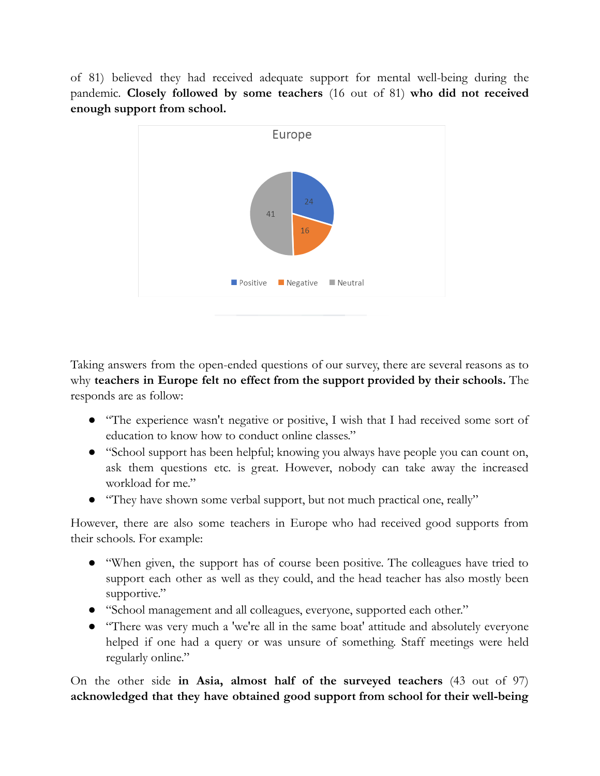of 81) believed they had received adequate support for mental well-being during the pandemic. **Closely followed by some teachers** (16 out of 81) **who did not received enough support from school.**



Taking answers from the open-ended questions of our survey, there are several reasons as to why **teachers in Europe felt no effect from the support provided by their schools.** The responds are as follow:

- "The experience wasn't negative or positive, I wish that I had received some sort of education to know how to conduct online classes."
- "School support has been helpful; knowing you always have people you can count on, ask them questions etc. is great. However, nobody can take away the increased workload for me."
- "They have shown some verbal support, but not much practical one, really"

However, there are also some teachers in Europe who had received good supports from their schools. For example:

- "When given, the support has of course been positive. The colleagues have tried to support each other as well as they could, and the head teacher has also mostly been supportive."
- "School management and all colleagues, everyone, supported each other."
- "There was very much a 'we're all in the same boat' attitude and absolutely everyone helped if one had a query or was unsure of something. Staff meetings were held regularly online."

On the other side **in Asia, almost half of the surveyed teachers** (43 out of 97) **acknowledged that they have obtained good support from school for their well-being**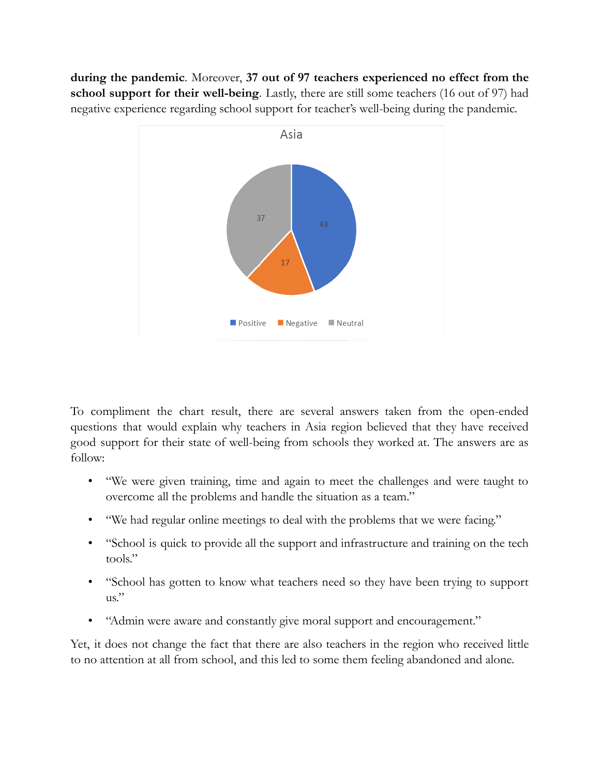**during the pandemic**. Moreover, **37 out of 97 teachers experienced no effect from the school support for their well-being**. Lastly, there are still some teachers (16 out of 97) had negative experience regarding school support for teacher's well-being during the pandemic.



To compliment the chart result, there are several answers taken from the open-ended questions that would explain why teachers in Asia region believed that they have received good support for their state of well-being from schools they worked at. The answers are as follow:

- "We were given training, time and again to meet the challenges and were taught to overcome all the problems and handle the situation as a team."
- "We had regular online meetings to deal with the problems that we were facing."
- "School is quick to provide all the support and infrastructure and training on the tech tools."
- "School has gotten to know what teachers need so they have been trying to support us."
- "Admin were aware and constantly give moral support and encouragement."

Yet, it does not change the fact that there are also teachers in the region who received little to no attention at all from school, and this led to some them feeling abandoned and alone.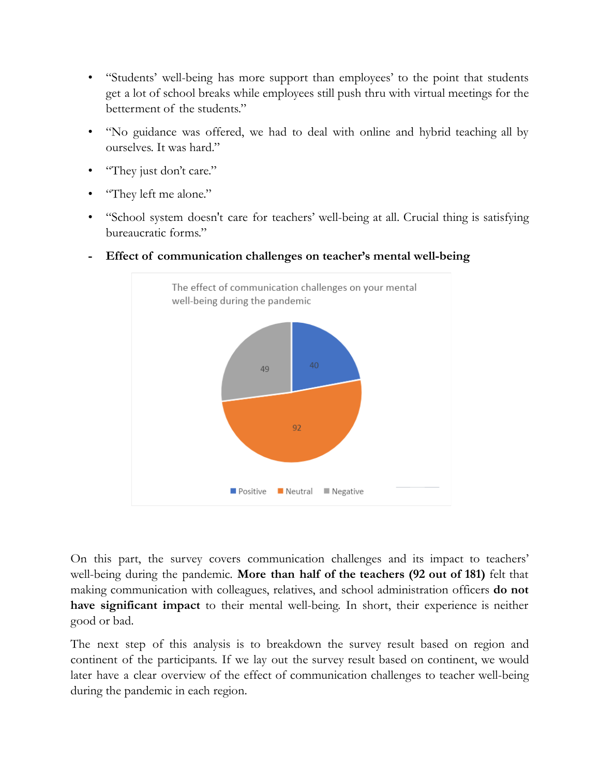- "Students' well-being has more support than employees' to the point that students get a lot of school breaks while employees still push thru with virtual meetings for the betterment of the students."
- "No guidance was offered, we had to deal with online and hybrid teaching all by ourselves. It was hard."
- "They just don't care."
- "They left me alone."
- "School system doesn't care for teachers' well-being at all. Crucial thing is satisfying bureaucratic forms."



**- Effect of communication challenges on teacher's mental well-being**

On this part, the survey covers communication challenges and its impact to teachers' well-being during the pandemic. **More than half of the teachers (92 out of 181)** felt that making communication with colleagues, relatives, and school administration officers **do not have significant impact** to their mental well-being. In short, their experience is neither good or bad.

The next step of this analysis is to breakdown the survey result based on region and continent of the participants. If we lay out the survey result based on continent, we would later have a clear overview of the effect of communication challenges to teacher well-being during the pandemic in each region.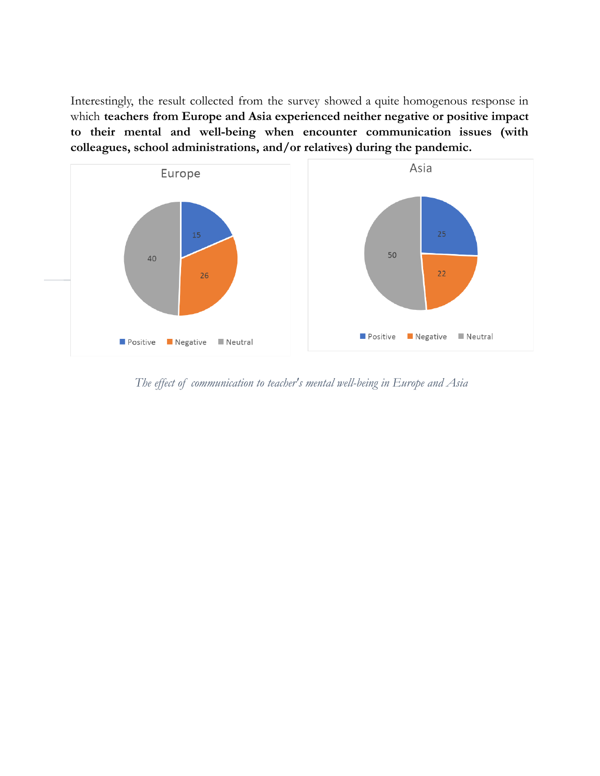Interestingly, the result collected from the survey showed a quite homogenous response in which **teachers from Europe and Asia experienced neither negative or positive impact to their mental and well-being when encounter communication issues (with colleagues, school administrations, and/or relatives) during the pandemic.**



*The ef ect of communication to teacher's mental well-being in Europe and Asia*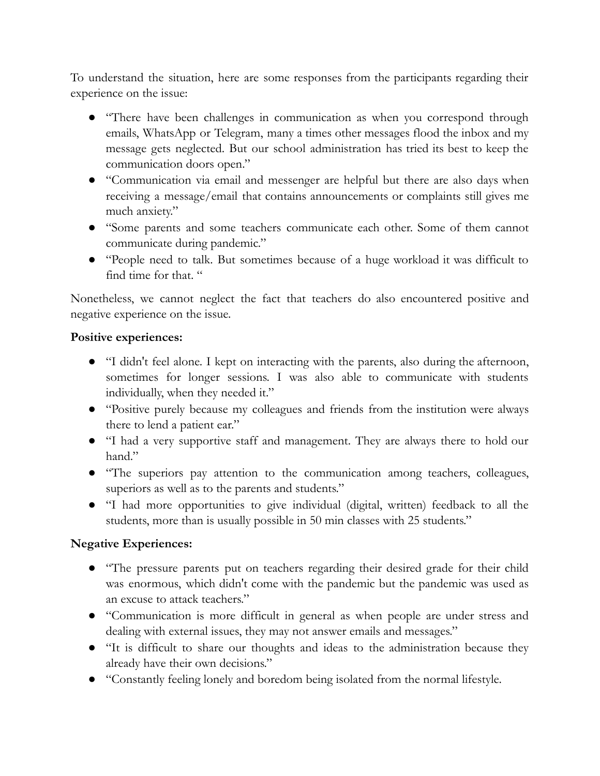To understand the situation, here are some responses from the participants regarding their experience on the issue:

- "There have been challenges in communication as when you correspond through emails, WhatsApp or Telegram, many a times other messages flood the inbox and my message gets neglected. But our school administration has tried its best to keep the communication doors open."
- "Communication via email and messenger are helpful but there are also days when receiving a message/email that contains announcements or complaints still gives me much anxiety."
- "Some parents and some teachers communicate each other. Some of them cannot communicate during pandemic."
- "People need to talk. But sometimes because of a huge workload it was difficult to find time for that. "

Nonetheless, we cannot neglect the fact that teachers do also encountered positive and negative experience on the issue.

### **Positive experiences:**

- "I didn't feel alone. I kept on interacting with the parents, also during the afternoon, sometimes for longer sessions. I was also able to communicate with students individually, when they needed it."
- "Positive purely because my colleagues and friends from the institution were always there to lend a patient ear."
- "I had a very supportive staff and management. They are always there to hold our hand."
- "The superiors pay attention to the communication among teachers, colleagues, superiors as well as to the parents and students."
- "I had more opportunities to give individual (digital, written) feedback to all the students, more than is usually possible in 50 min classes with 25 students."

### **Negative Experiences:**

- "The pressure parents put on teachers regarding their desired grade for their child was enormous, which didn't come with the pandemic but the pandemic was used as an excuse to attack teachers."
- "Communication is more difficult in general as when people are under stress and dealing with external issues, they may not answer emails and messages."
- "It is difficult to share our thoughts and ideas to the administration because they already have their own decisions."
- "Constantly feeling lonely and boredom being isolated from the normal lifestyle.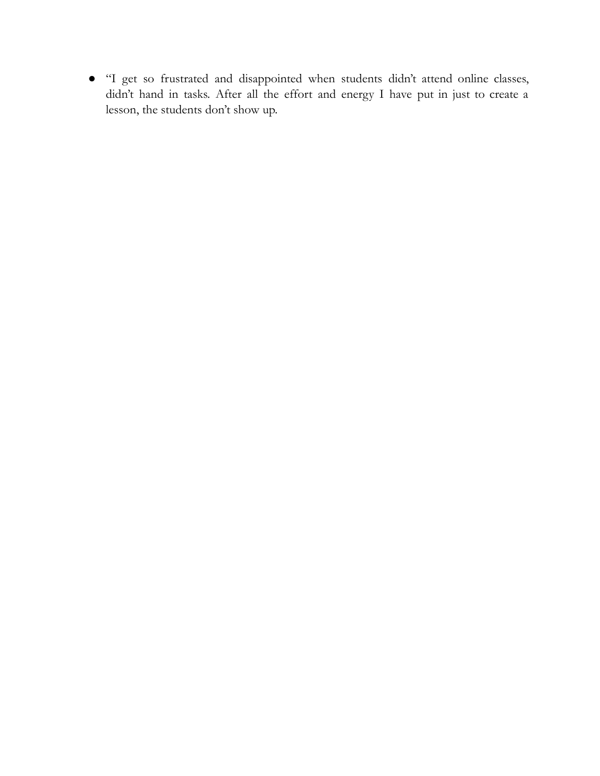● "I get so frustrated and disappointed when students didn't attend online classes, didn't hand in tasks. After all the effort and energy I have put in just to create a lesson, the students don't show up.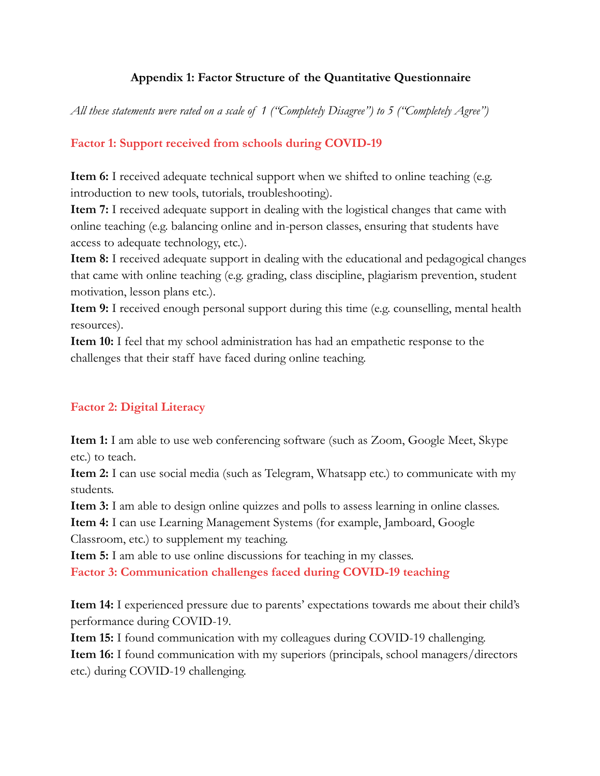## **Appendix 1: Factor Structure of the Quantitative Questionnaire**

*All these statements were rated on a scale of 1 ("Completely Disagree") to 5 ("Completely Agree")*

## **Factor 1: Support received from schools during COVID-19**

**Item 6:** I received adequate technical support when we shifted to online teaching (e.g. introduction to new tools, tutorials, troubleshooting).

**Item 7:** I received adequate support in dealing with the logistical changes that came with online teaching (e.g. balancing online and in-person classes, ensuring that students have access to adequate technology, etc.).

**Item 8:** I received adequate support in dealing with the educational and pedagogical changes that came with online teaching (e.g. grading, class discipline, plagiarism prevention, student motivation, lesson plans etc.).

**Item 9:** I received enough personal support during this time (e.g. counselling, mental health resources).

**Item 10:** I feel that my school administration has had an empathetic response to the challenges that their staff have faced during online teaching.

### **Factor 2: Digital Literacy**

**Item 1:** I am able to use web conferencing software (such as Zoom, Google Meet, Skype etc.) to teach.

**Item 2:** I can use social media (such as Telegram, Whatsapp etc.) to communicate with my students.

**Item 3:** I am able to design online quizzes and polls to assess learning in online classes.

**Item 4:** I can use Learning Management Systems (for example, Jamboard, Google

Classroom, etc.) to supplement my teaching.

**Item 5:** I am able to use online discussions for teaching in my classes.

**Factor 3: Communication challenges faced during COVID-19 teaching**

**Item 14:** I experienced pressure due to parents' expectations towards me about their child's performance during COVID-19.

**Item 15:** I found communication with my colleagues during COVID-19 challenging. **Item 16:** I found communication with my superiors (principals, school managers/directors etc.) during COVID-19 challenging.